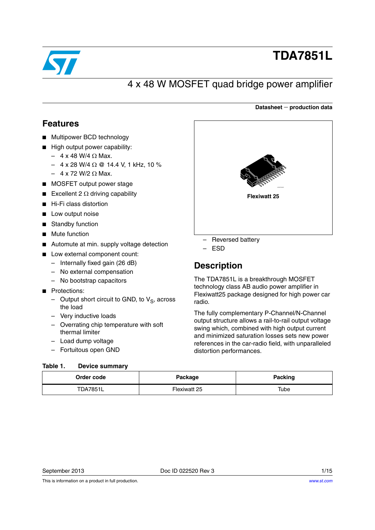

# **TDA7851L**

**Datasheet production data**

## 4 x 48 W MOSFET quad bridge power amplifier

## <span id="page-0-1"></span>**Features**

- Multipower BCD technology
- High output power capability:
	- $-4$  x 48 W/4  $\Omega$  Max.
	- $-$  4 x 28 W/4  $\Omega$  @ 14.4 V, 1 kHz, 10 %
	- $-4$  x 72 W/2  $\Omega$  Max.
- MOSFET output power stage
- Excellent 2  $\Omega$  driving capability
- Hi-Fi class distortion
- Low output noise
- Standby function
- Mute function
- Automute at min. supply voltage detection
- Low external component count:
	- Internally fixed gain (26 dB)
	- No external compensation
	- No bootstrap capacitors
- Protections:
	- Output short circuit to GND, to  $V_S$ , across the load
	- Very inductive loads
	- Overrating chip temperature with soft thermal limiter
	- Load dump voltage
	- Fortuitous open GND

#### <span id="page-0-0"></span>Table 1 **Device summary**

| CARDERSWITZ         |  |
|---------------------|--|
| <b>Flexiwatt 25</b> |  |
|                     |  |
|                     |  |

- Reversed battery
- ESD

## **Description**

The TDA7851L is a breakthrough MOSFET technology class AB audio power amplifier in Flexiwatt25 package designed for high power car radio.

The fully complementary P-Channel/N-Channel output structure allows a rail-to-rail output voltage swing which, combined with high output current and minimized saturation losses sets new power references in the car-radio field, with unparalleled distortion performances.

| .<br>_________  |              |         |
|-----------------|--------------|---------|
| Order code      | Package      | Packing |
| <b>TDA7851L</b> | Flexiwatt 25 | Tube    |

This is information on a product in full production.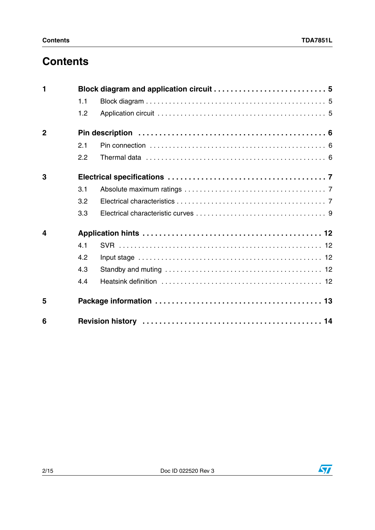## **Contents**

| $\blacksquare$          |     |  |
|-------------------------|-----|--|
|                         | 1.1 |  |
|                         | 1.2 |  |
| $\overline{2}$          |     |  |
|                         | 2.1 |  |
|                         | 2.2 |  |
| 3                       |     |  |
|                         | 3.1 |  |
|                         | 3.2 |  |
|                         | 3.3 |  |
| $\overline{\mathbf{4}}$ |     |  |
|                         | 4.1 |  |
|                         | 4.2 |  |
|                         | 4.3 |  |
|                         | 4.4 |  |
| 5                       |     |  |
| 6                       |     |  |

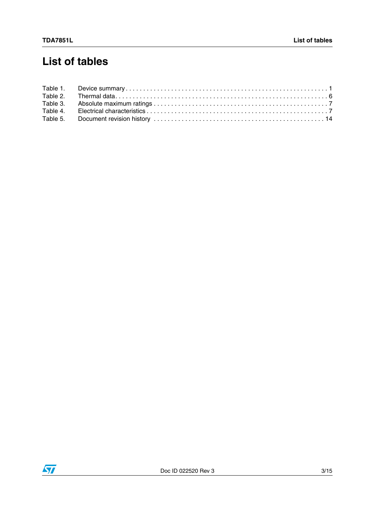## **List of tables**

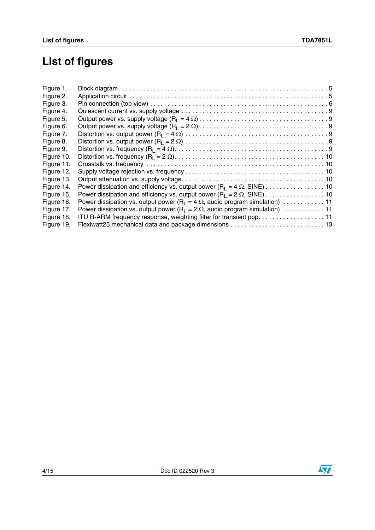# **List of figures**

| Figure 1.  |                                                                                                |
|------------|------------------------------------------------------------------------------------------------|
| Figure 2.  |                                                                                                |
| Figure 3.  |                                                                                                |
| Figure 4.  |                                                                                                |
| Figure 5.  |                                                                                                |
| Figure 6.  |                                                                                                |
| Figure 7.  |                                                                                                |
| Figure 8.  |                                                                                                |
| Figure 9.  |                                                                                                |
| Figure 10. |                                                                                                |
| Figure 11. |                                                                                                |
| Figure 12. |                                                                                                |
| Figure 13. |                                                                                                |
| Figure 14. |                                                                                                |
| Figure 15. |                                                                                                |
| Figure 16. | Power dissipation vs. output power (R <sub>1</sub> = 4 $\Omega$ , audio program simulation) 11 |
| Figure 17. | Power dissipation vs. output power (R <sub>1</sub> = 2 $\Omega$ , audio program simulation) 11 |
| Figure 18. | ITU R-ARM frequency response, weighting filter for transient pop. 11                           |
| Figure 19. | Flexiwatt25 mechanical data and package dimensions  13                                         |

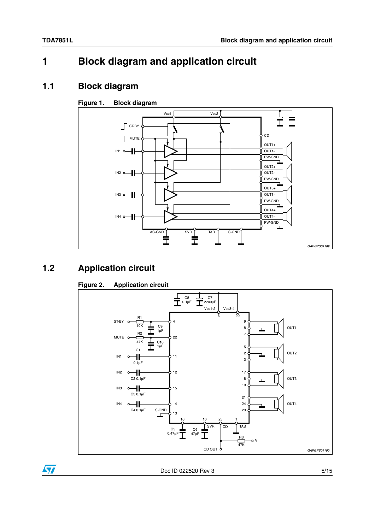## <span id="page-4-0"></span>**1 Block diagram and application circuit**

### <span id="page-4-1"></span>**1.1 Block diagram**

#### <span id="page-4-3"></span>**Figure 1. Block diagram**



## <span id="page-4-2"></span>**1.2 Application circuit**

#### <span id="page-4-4"></span>**Figure 2. Application circuit**



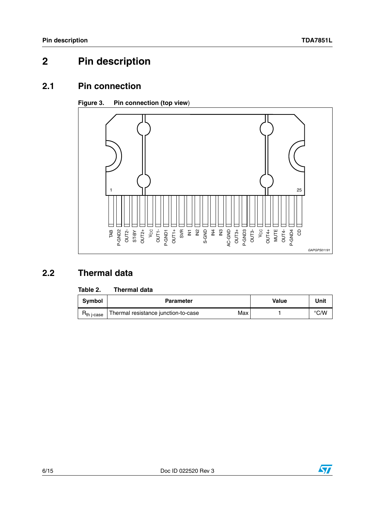## <span id="page-5-0"></span>**2 Pin description**

### <span id="page-5-1"></span>**2.1 Pin connection**

#### <span id="page-5-4"></span>**Figure 3. Pin connection (top view**)



## <span id="page-5-2"></span>**2.2 Thermal data**

#### <span id="page-5-3"></span>Table 2. **Thermal data**

| <b>Symbol</b> | <b>Parameter</b>                           | <b>Value</b> | Unit          |
|---------------|--------------------------------------------|--------------|---------------|
| h i-case      | Max<br>Thermal resistance junction-to-case |              | $\degree$ C/W |

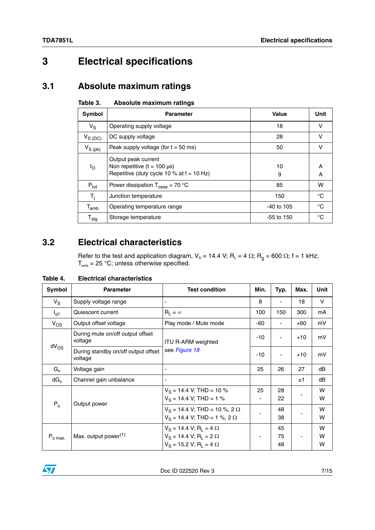## <span id="page-6-0"></span>**3 Electrical specifications**

### <span id="page-6-1"></span>**3.1 Absolute maximum ratings**

<span id="page-6-3"></span>

| Table 3. |  | Absolute maximum ratings |  |
|----------|--|--------------------------|--|
|----------|--|--------------------------|--|

| Symbol                      | <b>Parameter</b>                                                                                       | Value        | Unit   |
|-----------------------------|--------------------------------------------------------------------------------------------------------|--------------|--------|
| $V_{\rm S}$                 | Operating supply voltage                                                                               | 18           | v      |
| $V_{S(DC)}$                 | DC supply voltage                                                                                      | 28           | v      |
| $V_{S\ (pk)}$               | Peak supply voltage (for $t = 50$ ms)                                                                  | 50           | v      |
| ١o                          | Output peak current<br>Non repetitive $(t = 100 \mu s)$<br>Repetitive (duty cycle 10 % at $f = 10$ Hz) | 10<br>9      | A<br>A |
| $P_{\text{tot}}$            | Power dissipation $T_{\text{case}} = 70 \text{ °C}$                                                    | 85           | w      |
| T <sub>i</sub>              | Junction temperature                                                                                   | 150          | °C     |
| $\mathsf{T}_{\mathsf{amb}}$ | Operating temperature range                                                                            | $-40$ to 105 | °C     |
| $\mathsf{T}_{\textsf{stg}}$ | Storage temperature                                                                                    | -55 to 150   | °C     |

## <span id="page-6-2"></span>**3.2 Electrical characteristics**

Refer to the test and application diagram,  $V_s$  = 14.4 V; R<sub>L</sub> = 4  $\Omega$ ; R<sub>g</sub> = 600  $\Omega$ ; f = 1 kHz;  $T_{\text{amb}}$  = 25 °C; unless otherwise specified.

<span id="page-6-4"></span>**Table 4. Electrical characteristics** 

| Symbol          | <b>Parameter</b>                               | <b>Test condition</b>                                                                              | Min.  | Typ.           | Max.  | Unit        |
|-----------------|------------------------------------------------|----------------------------------------------------------------------------------------------------|-------|----------------|-------|-------------|
| $V_{\rm S}$     | Supply voltage range                           | $\blacksquare$                                                                                     | 8     | ۰              | 18    | V           |
| $I_{q1}$        | Quiescent current                              | $R_L = \infty$                                                                                     | 100   | 150            | 300   | mA          |
| $V_{OS}$        | Output offset voltage                          | Play mode / Mute mode                                                                              | -60   |                | $+60$ | mV          |
|                 | During mute on/off output offset<br>voltage    | <b>ITU R-ARM weighted</b><br>see Figure 18                                                         | $-10$ | ٠              | $+10$ | mV          |
| $dV_{OS}$       | During standby on/off output offset<br>voltage |                                                                                                    | $-10$ |                | $+10$ | mV          |
| $G_v$           | Voltage gain                                   | $\blacksquare$                                                                                     | 25    | 26             | 27    | dB          |
| $dG_v$          | Channel gain unbalance                         | ٠                                                                                                  |       |                | ±1    | dB          |
| $P_0$           | Output power                                   | $V_S = 14.4$ V; THD = 10 %<br>$V_S = 14.4$ V; THD = 1 %                                            | 25    | 28<br>22       |       | W<br>W      |
|                 |                                                | $V_S = 14.4$ V; THD = 10 %, 2 $\Omega$<br>$V_S = 14.4$ V; THD = 1 %, 2 $\Omega$                    |       | 48<br>38       |       | W<br>W      |
| $P_{o \, max.}$ | Max. output power <sup>(1)</sup>               | $V_S = 14.4 V; R_1 = 4 \Omega$<br>$V_S = 14.4 V; R_L = 2 \Omega$<br>$V_S = 15.2 V; R_1 = 4 \Omega$ |       | 45<br>75<br>48 |       | w<br>W<br>w |

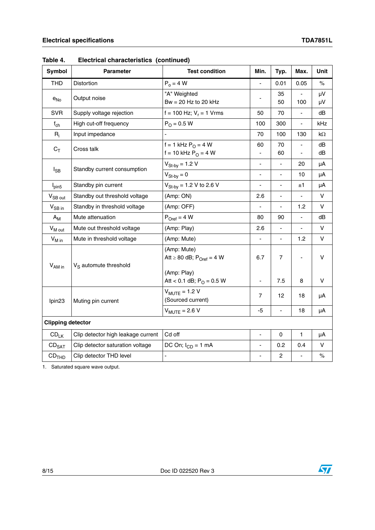| Symbol                   | <b>Parameter</b>                   | <b>Test condition</b>                                                   | Min.                     | Typ.           | Max.                     | Unit      |
|--------------------------|------------------------------------|-------------------------------------------------------------------------|--------------------------|----------------|--------------------------|-----------|
| <b>THD</b>               | Distortion                         | $P_0 = 4 W$                                                             | ÷,                       | 0.01           | 0.05                     | %         |
| $e_{No}$                 | Output noise                       | "A" Weighted<br>Bw = $20$ Hz to $20$ kHz                                |                          | 35<br>50       | 100                      | μV<br>μV  |
| <b>SVR</b>               | Supply voltage rejection           | f = 100 Hz; $V_r$ = 1 Vrms                                              | 50                       | 70             | $\overline{\phantom{a}}$ | dB        |
| $f_{ch}$                 | High cut-off frequency             | $P_{O} = 0.5 W$                                                         | 100                      | 300            | $\blacksquare$           | kHz       |
| $R_i$                    | Input impedance                    |                                                                         | 70                       | 100            | 130                      | $k\Omega$ |
| $C_T$                    | Cross talk                         | f = 1 kHz $P_0$ = 4 W<br>f = 10 kHz $P_0$ = 4 W                         | 60                       | 70<br>60       |                          | dB<br>dB  |
|                          |                                    | $V_{St-by} = 1.2 V$                                                     | $\overline{\phantom{a}}$ |                | 20                       | μA        |
| $I_{SB}$                 | Standby current consumption        | $V_{St-bv} = 0$                                                         | $\overline{\phantom{a}}$ | ÷,             | 10                       | μA        |
| $I_{pin5}$               | Standby pin current                | $V_{St-bv} = 1.2 V$ to 2.6 V                                            | $\overline{\phantom{a}}$ | ٠              | ±1                       | μA        |
| V <sub>SB out</sub>      | Standby out threshold voltage      | (Amp: ON)                                                               | 2.6                      | ٠              |                          | v         |
| $V_{SB}$ in              | Standby in threshold voltage       | (Amp: OFF)                                                              |                          | L              | 1.2                      | V         |
| $A_M$                    | Mute attenuation                   | $P_{Oref} = 4 W$                                                        | 80                       | 90             | $\blacksquare$           | dB        |
| $V_{M \text{ out}}$      | Mute out threshold voltage         | (Amp: Play)                                                             | 2.6                      | ä,             |                          | V         |
| $V_{M \text{ in}}$       | Mute in threshold voltage          | (Amp: Mute)                                                             | ÷,                       | L.             | 1.2                      | V         |
| $V_{AM}$ in              | $V_S$ automute threshold           | (Amp: Mute)<br>Att $\geq 80$ dB; P <sub>Oref</sub> = 4 W<br>(Amp: Play) | 6.7                      | $\overline{7}$ |                          | v         |
|                          |                                    | Att < 0.1 dB; $P_{O} = 0.5$ W                                           | $\overline{\phantom{a}}$ | 7.5            | 8                        | v         |
| lpin <sub>23</sub>       | Muting pin current                 | $V_{MUTE} = 1.2 V$<br>(Sourced current)                                 | 7                        | 12             | 18                       | μA        |
|                          |                                    | $V_{MUTE}$ = 2.6 V                                                      | $-5$                     | $\overline{a}$ | 18                       | μA        |
| <b>Clipping detector</b> |                                    |                                                                         |                          |                |                          |           |
| $CD_{LK}$                | Clip detector high leakage current | Cd off                                                                  | $\blacksquare$           | $\Omega$       | 1                        | μA        |
| CD <sub>SAT</sub>        | Clip detector saturation voltage   | DC On; $I_{CD} = 1$ mA                                                  | $\blacksquare$           | 0.2            | 0.4                      | V         |
| CD <sub>THD</sub>        | Clip detector THD level            |                                                                         | $\blacksquare$           | $\overline{c}$ |                          | $\%$      |

**Table 4. Electrical characteristics (continued)**

1. Saturated square wave output.

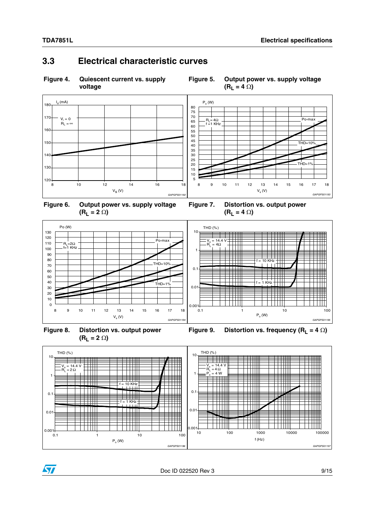### <span id="page-8-0"></span>**3.3 Electrical characteristic curves**

#### <span id="page-8-1"></span>**Figure 4. Quiescent current vs. supply voltage**

<span id="page-8-2"></span>



<span id="page-8-3"></span>

<span id="page-8-4"></span>**Figure 7. Distortion vs. output power**   $(R_L = 4 \Omega)$ 



<span id="page-8-5"></span>**Figure 8. Distortion vs. output power**   $(R_L = 2 \Omega)$ 

<span id="page-8-6"></span>



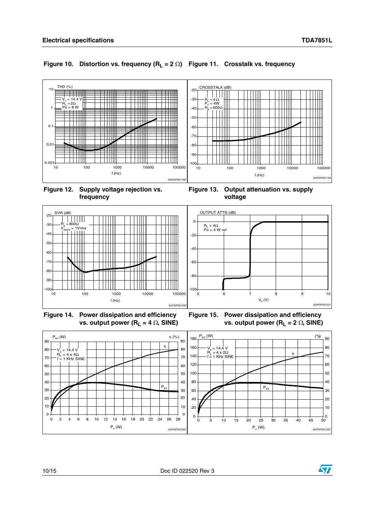#### <span id="page-9-0"></span>**Figure 10. Distortion vs. frequency (RL = 2 ) Figure 11. Crosstalk vs. frequency**



<span id="page-9-2"></span>

<span id="page-9-3"></span><span id="page-9-1"></span>



<span id="page-9-4"></span>

<span id="page-9-5"></span>**Figure 15. Power dissipation and efficiency vs. output power (R<sub>L</sub> = 2**  $\Omega$ **, SINE)** 



10/15 Doc ID 022520 Rev 3

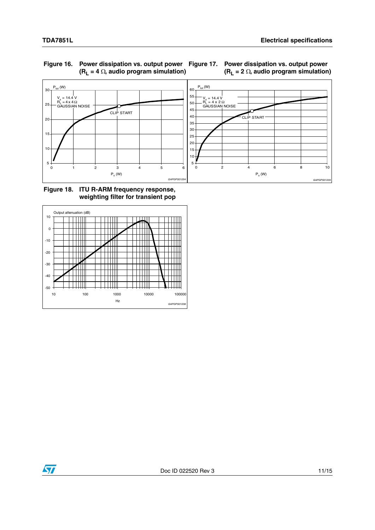

#### <span id="page-10-0"></span>**Figure 16. Power dissipation vs. output power**   $(R_L = 4 \Omega,$  audio program simulation)

<span id="page-10-1"></span>

<span id="page-10-2"></span>**Figure 18. ITU R-ARM frequency response, weighting filter for transient pop**



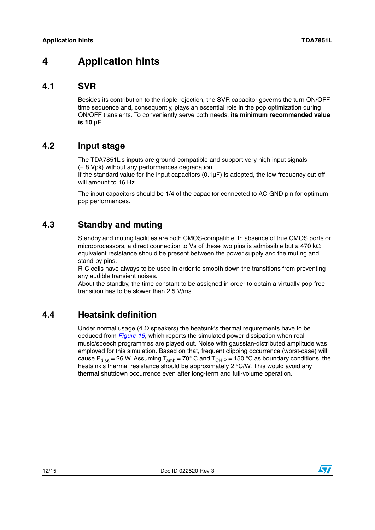## <span id="page-11-0"></span>**4 Application hints**

#### <span id="page-11-1"></span>**4.1 SVR**

Besides its contribution to the ripple rejection, the SVR capacitor governs the turn ON/OFF time sequence and, consequently, plays an essential role in the pop optimization during ON/OFF transients. To conveniently serve both needs, **its minimum recommended value is 10** µ**F**.

### <span id="page-11-2"></span>**4.2 Input stage**

The TDA7851L's inputs are ground-compatible and support very high input signals  $(± 8 Vpk)$  without any performances degradation.

If the standard value for the input capacitors (0.1µF) is adopted, the low frequency cut-off will amount to 16 Hz.

The input capacitors should be 1/4 of the capacitor connected to AC-GND pin for optimum pop performances.

### <span id="page-11-3"></span>**4.3 Standby and muting**

Standby and muting facilities are both CMOS-compatible. In absence of true CMOS ports or microprocessors, a direct connection to Vs of these two pins is admissible but a 470 k $\Omega$ equivalent resistance should be present between the power supply and the muting and stand-by pins.

R-C cells have always to be used in order to smooth down the transitions from preventing any audible transient noises.

About the standby, the time constant to be assigned in order to obtain a virtually pop-free transition has to be slower than 2.5 V/ms.

## <span id="page-11-4"></span>**4.4 Heatsink definition**

Under normal usage (4  $\Omega$  speakers) the heatsink's thermal requirements have to be deduced from *[Figure 16](#page-10-0)*, which reports the simulated power dissipation when real music/speech programmes are played out. Noise with gaussian-distributed amplitude was employed for this simulation. Based on that, frequent clipping occurrence (worst-case) will cause P<sub>diss</sub> = 26 W. Assuming T<sub>amb</sub> = 70° C and T<sub>CHIP</sub> = 150 °C as boundary conditions, the heatsink's thermal resistance should be approximately 2 °C/W. This would avoid any thermal shutdown occurrence even after long-term and full-volume operation.



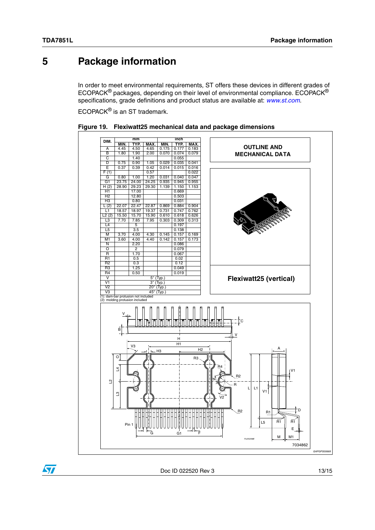$\sqrt{2}$ 

## <span id="page-12-0"></span>**5 Package information**

In order to meet environmental requirements, ST offers these devices in different grades of ECOPACK® packages, depending on their level of environmental compliance. ECOPACK® specifications, grade definitions and product status are available at: *[www.st.com](http://www.st.com)*.

ECOPACK® is an ST trademark.



<span id="page-12-1"></span>

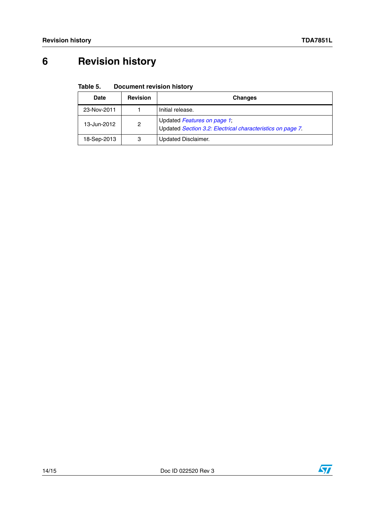# <span id="page-13-0"></span>**6 Revision history**

#### <span id="page-13-1"></span>Table 5. **Document revision history**

| <b>Date</b> | <b>Revision</b> | <b>Changes</b>                                                                            |
|-------------|-----------------|-------------------------------------------------------------------------------------------|
| 23-Nov-2011 |                 | Initial release.                                                                          |
| 13-Jun-2012 | 2               | Updated Features on page 1;<br>Updated Section 3.2: Electrical characteristics on page 7. |
| 18-Sep-2013 | 3               | Updated Disclaimer.                                                                       |